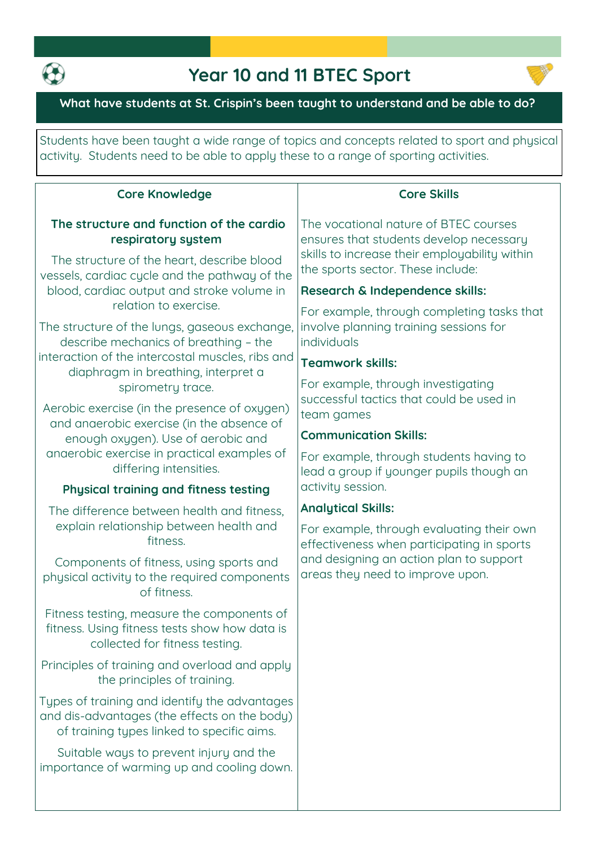

## **Year 10 and 11 BTEC Sport**



**What have students at St. Crispin's been taught to understand and be able to do?**

**Students have been taught a wide range of topics and concepts related to sport and physical activity. Students need to be able to apply these to a range of sporting activities.**

| <b>Core Knowledge</b>                                                                                                                       | <b>Core Skills</b>                                                                                                                                                                                                                                                                                               |
|---------------------------------------------------------------------------------------------------------------------------------------------|------------------------------------------------------------------------------------------------------------------------------------------------------------------------------------------------------------------------------------------------------------------------------------------------------------------|
| The structure and function of the cardio<br>respiratory system<br>The structure of the heart, describe blood                                | The vocational nature of BTEC courses<br>ensures that students develop necessary<br>skills to increase their employability within<br>the sports sector. These include:<br>Research & Independence skills:<br>For example, through completing tasks that<br>involve planning training sessions for<br>individuals |
| vessels, cardiac cycle and the pathway of the                                                                                               |                                                                                                                                                                                                                                                                                                                  |
| blood, cardiac output and stroke volume in<br>relation to exercise.                                                                         |                                                                                                                                                                                                                                                                                                                  |
| The structure of the lungs, gaseous exchange,<br>describe mechanics of breathing - the                                                      |                                                                                                                                                                                                                                                                                                                  |
| interaction of the intercostal muscles, ribs and<br>diaphragm in breathing, interpret a                                                     | <b>Teamwork skills:</b>                                                                                                                                                                                                                                                                                          |
| spirometry trace.                                                                                                                           | For example, through investigating<br>successful tactics that could be used in<br>team games                                                                                                                                                                                                                     |
| Aerobic exercise (in the presence of oxygen)<br>and anaerobic exercise (in the absence of                                                   |                                                                                                                                                                                                                                                                                                                  |
| enough oxygen). Use of aerobic and                                                                                                          | <b>Communication Skills:</b>                                                                                                                                                                                                                                                                                     |
| anaerobic exercise in practical examples of<br>differing intensities.                                                                       | For example, through students having to<br>lead a group if younger pupils though an<br>activity session.                                                                                                                                                                                                         |
| Physical training and fitness testing                                                                                                       |                                                                                                                                                                                                                                                                                                                  |
| The difference between health and fitness,                                                                                                  | <b>Analytical Skills:</b><br>For example, through evaluating their own<br>effectiveness when participating in sports<br>and designing an action plan to support<br>areas they need to improve upon.                                                                                                              |
| explain relationship between health and<br>fitness.                                                                                         |                                                                                                                                                                                                                                                                                                                  |
| Components of fitness, using sports and<br>physical activity to the required components<br>of fitness.                                      |                                                                                                                                                                                                                                                                                                                  |
| Fitness testing, measure the components of<br>fitness. Using fitness tests show how data is<br>collected for fitness testing.               |                                                                                                                                                                                                                                                                                                                  |
| Principles of training and overload and apply<br>the principles of training.                                                                |                                                                                                                                                                                                                                                                                                                  |
| Types of training and identify the advantages<br>and dis-advantages (the effects on the body)<br>of training types linked to specific aims. |                                                                                                                                                                                                                                                                                                                  |
| Suitable ways to prevent injury and the<br>importance of warming up and cooling down.                                                       |                                                                                                                                                                                                                                                                                                                  |
|                                                                                                                                             |                                                                                                                                                                                                                                                                                                                  |